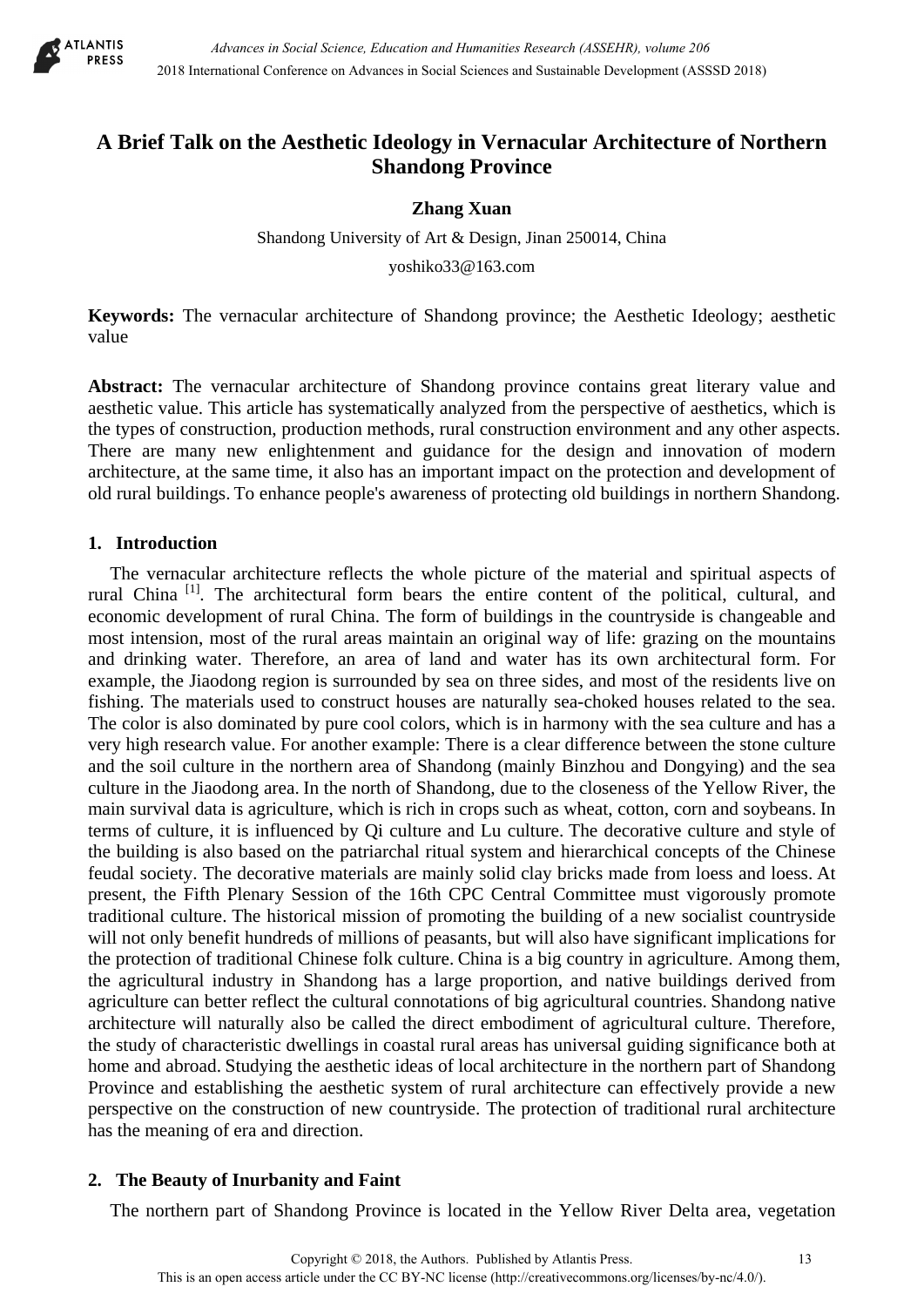

# **A Brief Talk on the Aesthetic Ideology in Vernacular Architecture of Northern Shandong Province**

### **Zhang Xuan**

Shandong University of Art & Design, Jinan 250014, China

yoshiko33@163.com

**Keywords:** The vernacular architecture of Shandong province; the Aesthetic Ideology; aesthetic value

**Abstract:** The vernacular architecture of Shandong province contains great literary value and aesthetic value. This article has systematically analyzed from the perspective of aesthetics, which is the types of construction, production methods, rural construction environment and any other aspects. There are many new enlightenment and guidance for the design and innovation of modern architecture, at the same time, it also has an important impact on the protection and development of old rural buildings. To enhance people's awareness of protecting old buildings in northern Shandong.

### **1. Introduction**

The vernacular architecture reflects the whole picture of the material and spiritual aspects of rural China<sup>[1]</sup>. The architectural form bears the entire content of the political, cultural, and economic development of rural China. The form of buildings in the countryside is changeable and most intension, most of the rural areas maintain an original way of life: grazing on the mountains and drinking water. Therefore, an area of land and water has its own architectural form. For example, the Jiaodong region is surrounded by sea on three sides, and most of the residents live on fishing. The materials used to construct houses are naturally sea-choked houses related to the sea. The color is also dominated by pure cool colors, which is in harmony with the sea culture and has a very high research value. For another example: There is a clear difference between the stone culture and the soil culture in the northern area of Shandong (mainly Binzhou and Dongying) and the sea culture in the Jiaodong area. In the north of Shandong, due to the closeness of the Yellow River, the main survival data is agriculture, which is rich in crops such as wheat, cotton, corn and soybeans. In terms of culture, it is influenced by Qi culture and Lu culture. The decorative culture and style of the building is also based on the patriarchal ritual system and hierarchical concepts of the Chinese feudal society. The decorative materials are mainly solid clay bricks made from loess and loess. At present, the Fifth Plenary Session of the 16th CPC Central Committee must vigorously promote traditional culture. The historical mission of promoting the building of a new socialist countryside will not only benefit hundreds of millions of peasants, but will also have significant implications for the protection of traditional Chinese folk culture. China is a big country in agriculture. Among them, the agricultural industry in Shandong has a large proportion, and native buildings derived from agriculture can better reflect the cultural connotations of big agricultural countries. Shandong native architecture will naturally also be called the direct embodiment of agricultural culture. Therefore, the study of characteristic dwellings in coastal rural areas has universal guiding significance both at home and abroad. Studying the aesthetic ideas of local architecture in the northern part of Shandong Province and establishing the aesthetic system of rural architecture can effectively provide a new perspective on the construction of new countryside. The protection of traditional rural architecture has the meaning of era and direction.

## **2. The Beauty of Inurbanity and Faint**

The northern part of Shandong Province is located in the Yellow River Delta area, vegetation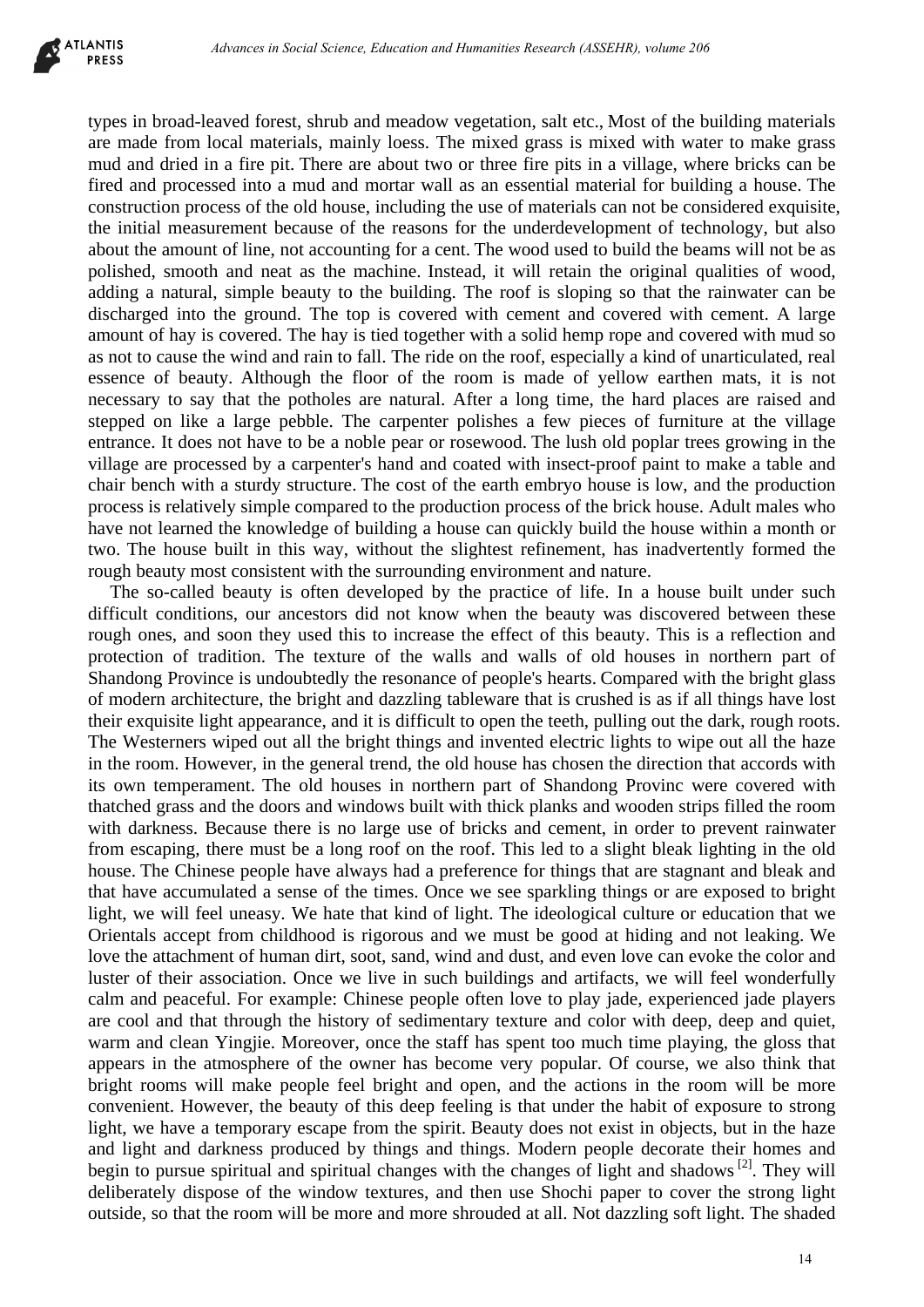

types in broad-leaved forest, shrub and meadow vegetation, salt etc., Most of the building materials are made from local materials, mainly loess. The mixed grass is mixed with water to make grass mud and dried in a fire pit. There are about two or three fire pits in a village, where bricks can be fired and processed into a mud and mortar wall as an essential material for building a house. The construction process of the old house, including the use of materials can not be considered exquisite, the initial measurement because of the reasons for the underdevelopment of technology, but also about the amount of line, not accounting for a cent. The wood used to build the beams will not be as polished, smooth and neat as the machine. Instead, it will retain the original qualities of wood, adding a natural, simple beauty to the building. The roof is sloping so that the rainwater can be discharged into the ground. The top is covered with cement and covered with cement. A large amount of hay is covered. The hay is tied together with a solid hemp rope and covered with mud so as not to cause the wind and rain to fall. The ride on the roof, especially a kind of unarticulated, real essence of beauty. Although the floor of the room is made of yellow earthen mats, it is not necessary to say that the potholes are natural. After a long time, the hard places are raised and stepped on like a large pebble. The carpenter polishes a few pieces of furniture at the village entrance. It does not have to be a noble pear or rosewood. The lush old poplar trees growing in the village are processed by a carpenter's hand and coated with insect-proof paint to make a table and chair bench with a sturdy structure. The cost of the earth embryo house is low, and the production process is relatively simple compared to the production process of the brick house. Adult males who have not learned the knowledge of building a house can quickly build the house within a month or two. The house built in this way, without the slightest refinement, has inadvertently formed the rough beauty most consistent with the surrounding environment and nature.

The so-called beauty is often developed by the practice of life. In a house built under such difficult conditions, our ancestors did not know when the beauty was discovered between these rough ones, and soon they used this to increase the effect of this beauty. This is a reflection and protection of tradition. The texture of the walls and walls of old houses in northern part of Shandong Province is undoubtedly the resonance of people's hearts. Compared with the bright glass of modern architecture, the bright and dazzling tableware that is crushed is as if all things have lost their exquisite light appearance, and it is difficult to open the teeth, pulling out the dark, rough roots. The Westerners wiped out all the bright things and invented electric lights to wipe out all the haze in the room. However, in the general trend, the old house has chosen the direction that accords with its own temperament. The old houses in northern part of Shandong Provinc were covered with thatched grass and the doors and windows built with thick planks and wooden strips filled the room with darkness. Because there is no large use of bricks and cement, in order to prevent rainwater from escaping, there must be a long roof on the roof. This led to a slight bleak lighting in the old house. The Chinese people have always had a preference for things that are stagnant and bleak and that have accumulated a sense of the times. Once we see sparkling things or are exposed to bright light, we will feel uneasy. We hate that kind of light. The ideological culture or education that we Orientals accept from childhood is rigorous and we must be good at hiding and not leaking. We love the attachment of human dirt, soot, sand, wind and dust, and even love can evoke the color and luster of their association. Once we live in such buildings and artifacts, we will feel wonderfully calm and peaceful. For example: Chinese people often love to play jade, experienced jade players are cool and that through the history of sedimentary texture and color with deep, deep and quiet, warm and clean Yingjie. Moreover, once the staff has spent too much time playing, the gloss that appears in the atmosphere of the owner has become very popular. Of course, we also think that bright rooms will make people feel bright and open, and the actions in the room will be more convenient. However, the beauty of this deep feeling is that under the habit of exposure to strong light, we have a temporary escape from the spirit. Beauty does not exist in objects, but in the haze and light and darkness produced by things and things. Modern people decorate their homes and begin to pursue spiritual and spiritual changes with the changes of light and shadows<sup>[2]</sup>. They will deliberately dispose of the window textures, and then use Shochi paper to cover the strong light outside, so that the room will be more and more shrouded at all. Not dazzling soft light. The shaded determine the beam of the molecular content of the building material of the content of the content of the content of the content of the content of the content and the content and the content and the content of the material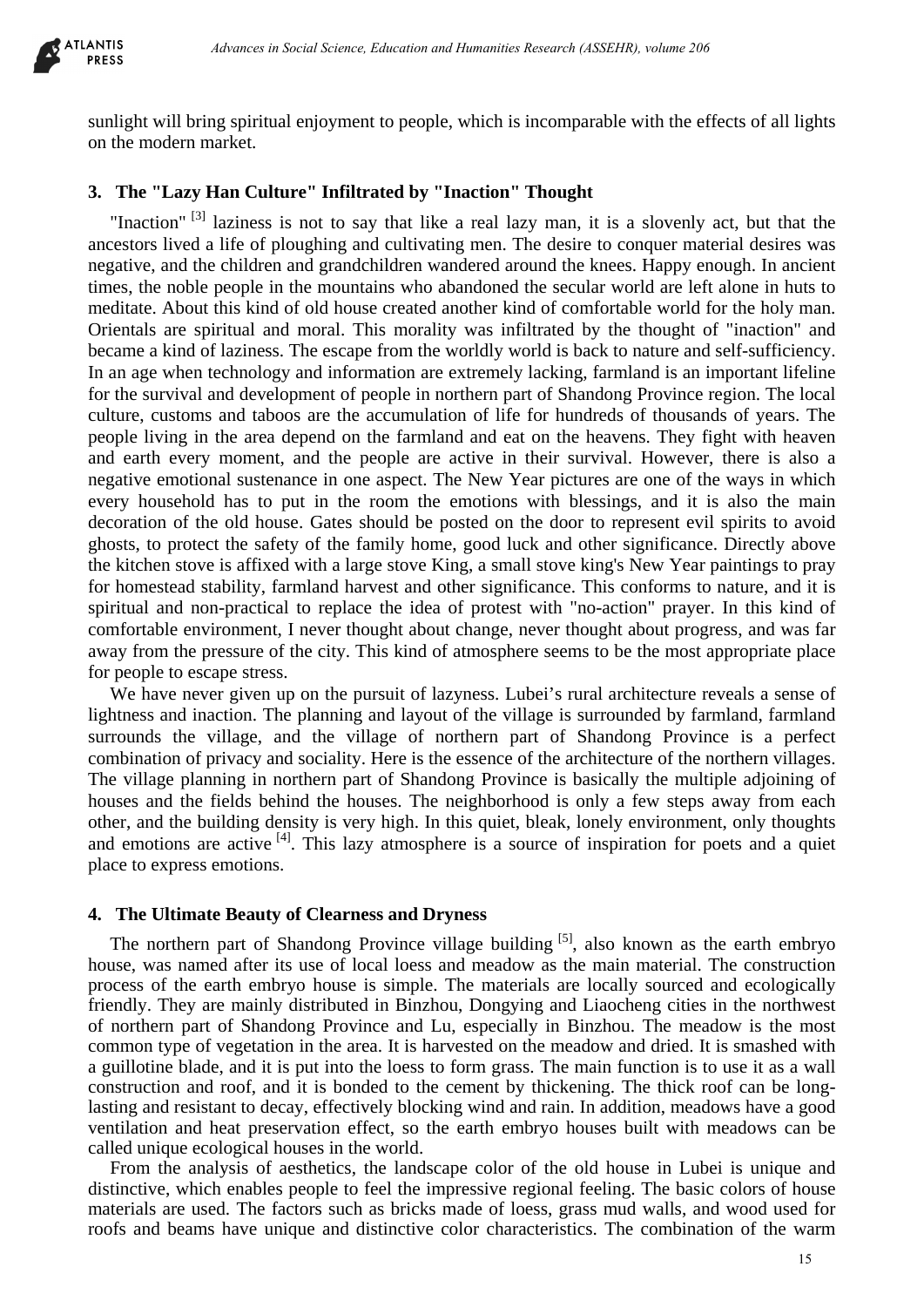

sunlight will bring spiritual enjoyment to people, which is incomparable with the effects of all lights on the modern market.

#### **3. The "Lazy Han Culture" Infiltrated by "Inaction" Thought**

"Inaction"<sup>[3]</sup> laziness is not to say that like a real lazy man, it is a slovenly act, but that the ancestors lived a life of ploughing and cultivating men. The desire to conquer material desires was negative, and the children and grandchildren wandered around the knees. Happy enough. In ancient times, the noble people in the mountains who abandoned the secular world are left alone in huts to meditate. About this kind of old house created another kind of comfortable world for the holy man. Orientals are spiritual and moral. This morality was infiltrated by the thought of "inaction" and became a kind of laziness. The escape from the worldly world is back to nature and self-sufficiency. In an age when technology and information are extremely lacking, farmland is an important lifeline for the survival and development of people in northern part of Shandong Province region. The local culture, customs and taboos are the accumulation of life for hundreds of thousands of years. The people living in the area depend on the farmland and eat on the heavens. They fight with heaven and earth every moment, and the people are active in their survival. However, there is also a negative emotional sustenance in one aspect. The New Year pictures are one of the ways in which every household has to put in the room the emotions with blessings, and it is also the main decoration of the old house. Gates should be posted on the door to represent evil spirits to avoid ghosts, to protect the safety of the family home, good luck and other significance. Directly above the kitchen stove is affixed with a large stove King, a small stove king's New Year paintings to pray for homestead stability, farmland harvest and other significance. This conforms to nature, and it is spiritual and non-practical to replace the idea of protest with "no-action" prayer. In this kind of comfortable environment, I never thought about change, never thought about progress, and was far away from the pressure of the city. This kind of atmosphere seems to be the most appropriate place for people to escape stress. determine in Social Science, Education and Humanities Research (ASSEHR), where 266<br>
18 spiritual enjoyment to people, which is incomparable with the effects of all the<br>
and Culture" Inflittrated by "Inaction" Thought<br>
and

We have never given up on the pursuit of lazyness. Lubei's rural architecture reveals a sense of lightness and inaction. The planning and layout of the village is surrounded by farmland, farmland surrounds the village, and the village of northern part of Shandong Province is a perfect combination of privacy and sociality. Here is the essence of the architecture of the northern villages. The village planning in northern part of Shandong Province is basically the multiple adjoining of houses and the fields behind the houses. The neighborhood is only a few steps away from each other, and the building density is very high. In this quiet, bleak, lonely environment, only thoughts and emotions are active <sup>[4]</sup>. This lazy atmosphere is a source of inspiration for poets and a quiet place to express emotions.

#### **4. The Ultimate Beauty of Clearness and Dryness**

The northern part of Shandong Province village building  $[5]$ , also known as the earth embryo house, was named after its use of local loess and meadow as the main material. The construction process of the earth embryo house is simple. The materials are locally sourced and ecologically friendly. They are mainly distributed in Binzhou, Dongying and Liaocheng cities in the northwest of northern part of Shandong Province and Lu, especially in Binzhou. The meadow is the most common type of vegetation in the area. It is harvested on the meadow and dried. It is smashed with a guillotine blade, and it is put into the loess to form grass. The main function is to use it as a wall construction and roof, and it is bonded to the cement by thickening. The thick roof can be longlasting and resistant to decay, effectively blocking wind and rain. In addition, meadows have a good ventilation and heat preservation effect, so the earth embryo houses built with meadows can be called unique ecological houses in the world.

From the analysis of aesthetics, the landscape color of the old house in Lubei is unique and distinctive, which enables people to feel the impressive regional feeling. The basic colors of house materials are used. The factors such as bricks made of loess, grass mud walls, and wood used for roofs and beams have unique and distinctive color characteristics. The combination of the warm